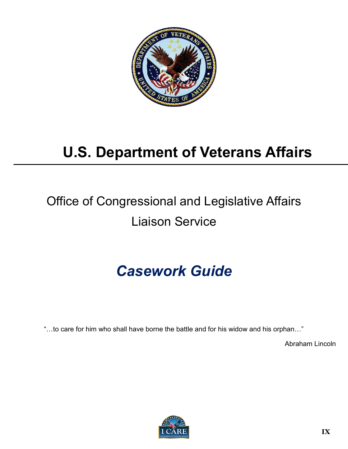

## **U.S. Department of Veterans Affairs**

# Office of Congressional and Legislative Affairs Liaison Service

# *Casework Guide*

"…to care for him who shall have borne the battle and for his widow and his orphan…"

Abraham Lincoln

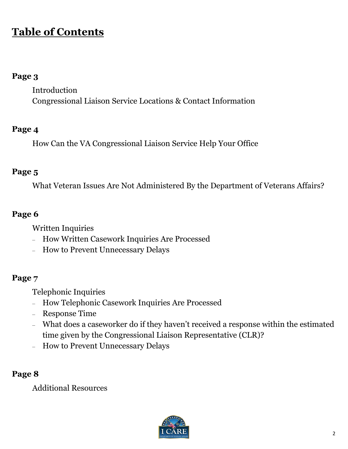## **Table of Contents**

### **Page 3**

Introduction Congressional Liaison Service Locations & Contact Information

#### **Page 4**

How Can the VA Congressional Liaison Service Help Your Office

#### **Page 5**

What Veteran Issues Are Not Administered By the Department of Veterans Affairs?

### **Page 6**

Written Inquiries

- ‒ How Written Casework Inquiries Are Processed
- ‒ How to Prevent Unnecessary Delays

#### **Page 7**

Telephonic Inquiries

- ‒ How Telephonic Casework Inquiries Are Processed
- ‒ Response Time
- ‒ What does a caseworker do if they haven't received a response within the estimated time given by the Congressional Liaison Representative (CLR)?
- ‒ How to Prevent Unnecessary Delays

## **Page 8**

Additional Resources

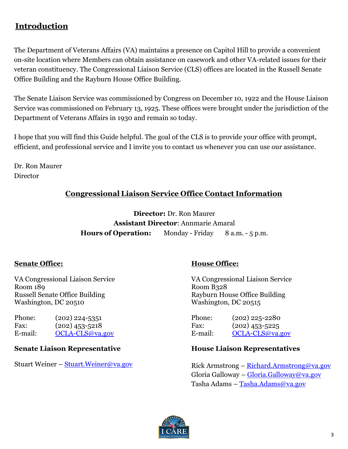## **Introduction**

 The Department of Veterans Affairs (VA) maintains a presence on Capitol Hill to provide a convenient on-site location where Members can obtain assistance on casework and other VA-related issues for their veteran constituency. The Congressional Liaison Service (CLS) offices are located in the Russell Senate Office Building and the Rayburn House Office Building.

The Senate Liaison Service was commissioned by Congress on December 10, 1922 and the House Liaison Service was commissioned on February 13, 1925. These offices were brought under the jurisdiction of the Department of Veterans Affairs in 1930 and remain so today.

I hope that you will find this Guide helpful. The goal of the CLS is to provide your office with prompt, efficient, and professional service and I invite you to contact us whenever you can use our assistance.

Dr. Ron Maurer Director

#### **Congressional Liaison Service Office Contact Information**

**Hours of Operation:** Monday - Friday 8 a.m. - 5 p.m. **Director:** Dr. Ron Maurer **Assistant Director**: Annmarie Amaral

#### **Senate Office:**

**Room 189** VA Congressional Liaison Service Russell Senate Office Building Washington, DC 20510

Fax: Phone: E-mail: (202) 224-5351 (202) 453-5218 [OCLA-CLS@va.gov](mailto:OCLA-CLS@va.gov) 

#### **Senate Liaison Representative**

Stuart Weiner – Stuart. Weiner@va.gov

#### **House Office:**

**Room B328** VA Congressional Liaison Service Rayburn House Office Building Washington, DC 20515

Fax: Phone:  $E$ -mail: (202) 225-2280 (202) 453-5225 [OCLA-CLS@va.gov](mailto:OCLA-CLS@va.gov) 

#### **Senate Liaison Representative**  House Liaison Representatives

Tasha Adams – <u>Tasha.Adams@va.gov</u>  $Rick Armstrong - Richard.Armstrong@va.gov$ Gloria Galloway – [Gloria.Galloway@va.gov](mailto:Gloria.Galloway@va.gov) 

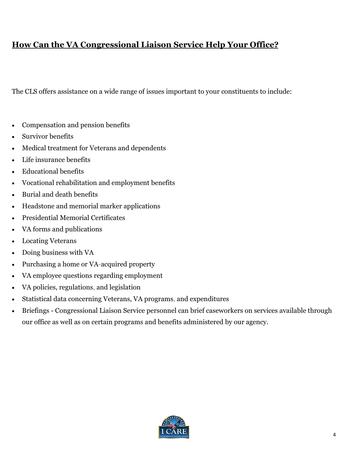## **How Can the VA Congressional Liaison Service Help Your Office?**

The CLS offers assistance on a wide range of issues important to your constituents to include:

- Compensation and pension benefits
- Survivor benefits
- Medical treatment for Veterans and dependents
- Life insurance benefits
- Educational benefits
- Vocational rehabilitation and employment benefits
- Burial and death benefits
- Headstone and memorial marker applications
- Presidential Memorial Certificates
- VA forms and publications
- Locating Veterans
- Doing business with VA
- Purchasing a home or VA-acquired property
- VA employee questions regarding employment
- VA policies, regulations, and legislation
- Statistical data concerning Veterans, VA programs, and expenditures
- Briefings Congressional Liaison Service personnel can brief caseworkers on services available through our office as well as on certain programs and benefits administered by our agency.

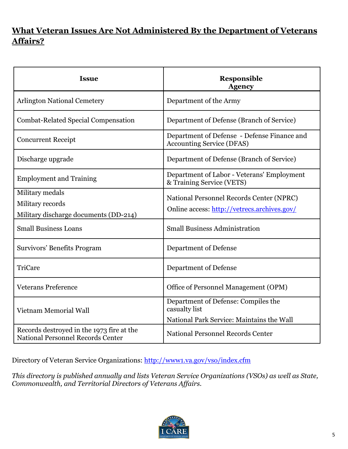## **What Veteran Issues Are Not Administered By the Department of Veterans Affairs?**

| <b>Issue</b>                                                                          | <b>Responsible</b><br><b>Agency</b>                                                               |
|---------------------------------------------------------------------------------------|---------------------------------------------------------------------------------------------------|
| <b>Arlington National Cemetery</b>                                                    | Department of the Army                                                                            |
| <b>Combat-Related Special Compensation</b>                                            | Department of Defense (Branch of Service)                                                         |
| <b>Concurrent Receipt</b>                                                             | Department of Defense - Defense Finance and<br><b>Accounting Service (DFAS)</b>                   |
| Discharge upgrade                                                                     | Department of Defense (Branch of Service)                                                         |
| <b>Employment and Training</b>                                                        | Department of Labor - Veterans' Employment<br>& Training Service (VETS)                           |
| Military medals<br>Military records<br>Military discharge documents (DD-214)          | National Personnel Records Center (NPRC)<br>Online access: http://vetrecs.archives.gov/           |
| <b>Small Business Loans</b>                                                           | <b>Small Business Administration</b>                                                              |
| <b>Survivors' Benefits Program</b>                                                    | <b>Department of Defense</b>                                                                      |
| TriCare                                                                               | <b>Department of Defense</b>                                                                      |
| <b>Veterans Preference</b>                                                            | Office of Personnel Management (OPM)                                                              |
| Vietnam Memorial Wall                                                                 | Department of Defense: Compiles the<br>casualty list<br>National Park Service: Maintains the Wall |
| Records destroyed in the 1973 fire at the<br><b>National Personnel Records Center</b> | <b>National Personnel Records Center</b>                                                          |

Directory of Veteran Service Organizations: <http://www1.va.gov/vso/index.cfm>

*This directory is published annually and lists Veteran Service Organizations (VSOs) as well as State, Commonwealth, and Territorial Directors of Veterans Affairs.* 

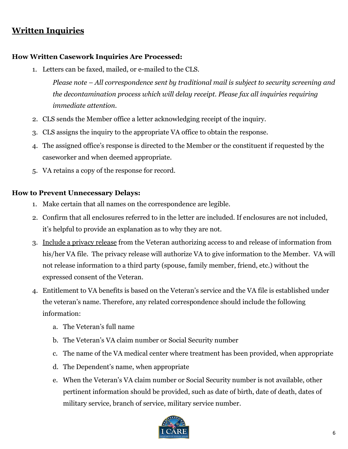## **Written Inquiries**

#### **How Written Casework Inquiries Are Processed:**

1. Letters can be faxed, mailed, or e-mailed to the CLS.

 *Please note – All correspondence sent by traditional mail is subject to security screening and the decontamination process which will delay receipt. Please fax all inquiries requiring immediate attention.* 

- 2. CLS sends the Member office a letter acknowledging receipt of the inquiry.
- 3. CLS assigns the inquiry to the appropriate VA office to obtain the response.
- 4. The assigned office's response is directed to the Member or the constituent if requested by the caseworker and when deemed appropriate.
- 5. VA retains a copy of the response for record.

#### **How to Prevent Unnecessary Delays:**

- 1. Make certain that all names on the correspondence are legible.
- 2. Confirm that all enclosures referred to in the letter are included. If enclosures are not included, it's helpful to provide an explanation as to why they are not.
- 3. Include a privacy release from the Veteran authorizing access to and release of information from his/her VA file. The privacy release will authorize VA to give information to the Member. VA will not release information to a third party (spouse, family member, friend, etc.) without the expressed consent of the Veteran.
- 4. Entitlement to VA benefits is based on the Veteran's service and the VA file is established under the veteran's name. Therefore, any related correspondence should include the following information:
	- a. The Veteran's full name
	- b. The Veteran's VA claim number or Social Security number
	- c. The name of the VA medical center where treatment has been provided, when appropriate
	- d. The Dependent's name, when appropriate
	- e. When the Veteran's VA claim number or Social Security number is not available, other pertinent information should be provided, such as date of birth, date of death, dates of military service, branch of service, military service number.

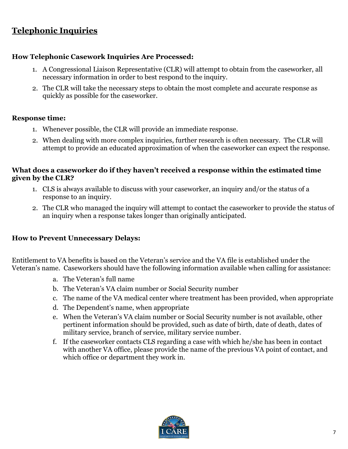## **Telephonic Inquiries**

#### **How Telephonic Casework Inquiries Are Processed:**

- 1. A Congressional Liaison Representative (CLR) will attempt to obtain from the caseworker, all necessary information in order to best respond to the inquiry.
- 2. The CLR will take the necessary steps to obtain the most complete and accurate response as quickly as possible for the caseworker.

#### **Response time:**

- 1. Whenever possible, the CLR will provide an immediate response.
- 2. When dealing with more complex inquiries, further research is often necessary. The CLR will attempt to provide an educated approximation of when the caseworker can expect the response.

#### **What does a caseworker do if they haven't received a response within the estimated time given by the CLR?**

- 1. CLS is always available to discuss with your caseworker, an inquiry and/or the status of a response to an inquiry.
- 2. The CLR who managed the inquiry will attempt to contact the caseworker to provide the status of an inquiry when a response takes longer than originally anticipated.

#### **How to Prevent Unnecessary Delays:**

Entitlement to VA benefits is based on the Veteran's service and the VA file is established under the Veteran's name. Caseworkers should have the following information available when calling for assistance:

- a. The Veteran's full name
- b. The Veteran's VA claim number or Social Security number
- c. The name of the VA medical center where treatment has been provided, when appropriate
- d. The Dependent's name, when appropriate
- e. When the Veteran's VA claim number or Social Security number is not available, other pertinent information should be provided, such as date of birth, date of death, dates of military service, branch of service, military service number.
- f. If the caseworker contacts CLS regarding a case with which he/she has been in contact with another VA office, please provide the name of the previous VA point of contact, and which office or department they work in.